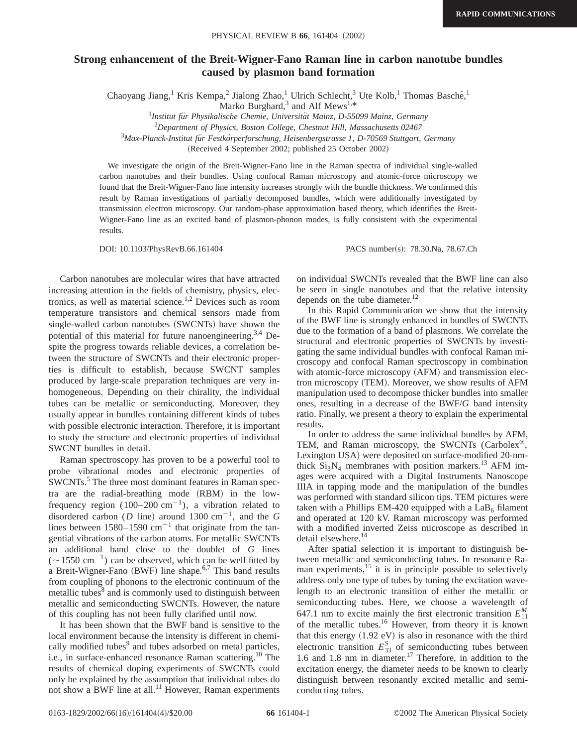## **Strong enhancement of the Breit-Wigner-Fano Raman line in carbon nanotube bundles caused by plasmon band formation**

Chaoyang Jiang,<sup>1</sup> Kris Kempa,<sup>2</sup> Jialong Zhao,<sup>1</sup> Ulrich Schlecht,<sup>3</sup> Ute Kolb,<sup>1</sup> Thomas Basché,<sup>1</sup>

Marko Burghard, $3$  and Alf Mews<sup>1,\*</sup>

*Institut fu¨r Physikalische Chemie, Universita¨t Mainz, D-55099 Mainz, Germany*

2 *Department of Physics, Boston College, Chestnut Hill, Massachusetts 02467*

<sup>3</sup>Max-Planck-Institut für Festkörperforschung, Heisenbergstrasse 1, D-70569 Stuttgart, Germany

(Received 4 September 2002; published 25 October 2002)

We investigate the origin of the Breit-Wigner-Fano line in the Raman spectra of individual single-walled carbon nanotubes and their bundles. Using confocal Raman microscopy and atomic-force microscopy we found that the Breit-Wigner-Fano line intensity increases strongly with the bundle thickness. We confirmed this result by Raman investigations of partially decomposed bundles, which were additionally investigated by transmission electron microscopy. Our random-phase approximation based theory, which identifies the Breit-Wigner-Fano line as an excited band of plasmon-phonon modes, is fully consistent with the experimental results.

DOI: 10.1103/PhysRevB.66.161404 PACS number(s): 78.30.Na, 78.67.Ch

Carbon nanotubes are molecular wires that have attracted increasing attention in the fields of chemistry, physics, electronics, as well as material science.<sup>1,2</sup> Devices such as room temperature transistors and chemical sensors made from single-walled carbon nanotubes (SWCNTs) have shown the potential of this material for future nanoengineering.<sup>3,4</sup> Despite the progress towards reliable devices, a correlation between the structure of SWCNTs and their electronic properties is difficult to establish, because SWCNT samples produced by large-scale preparation techniques are very inhomogeneous. Depending on their chirality, the individual tubes can be metallic or semiconducting. Moreover, they usually appear in bundles containing different kinds of tubes with possible electronic interaction. Therefore, it is important to study the structure and electronic properties of individual SWCNT bundles in detail.

Raman spectroscopy has proven to be a powerful tool to probe vibrational modes and electronic properties of SWCNTs.<sup>5</sup> The three most dominant features in Raman spectra are the radial-breathing mode (RBM) in the lowfrequency region (100–200 cm<sup>-1</sup>), a vibration related to disordered carbon (*D* line) around 1300 cm<sup>-1</sup>, and the *G* lines between  $1580-1590$  cm<sup>-1</sup> that originate from the tangential vibrations of the carbon atoms. For metallic SWCNTs an additional band close to the doublet of *G* lines  $(-1550 \text{ cm}^{-1})$  can be observed, which can be well fitted by a Breit-Wigner-Fano  $(BWF)$  line shape.<sup>6,7</sup> This band results from coupling of phonons to the electronic continuum of the metallic tubes<sup>8</sup> and is commonly used to distinguish between metallic and semiconducting SWCNTs. However, the nature of this coupling has not been fully clarified until now.

It has been shown that the BWF band is sensitive to the local environment because the intensity is different in chemically modified tubes<sup>9</sup> and tubes adsorbed on metal particles, i.e., in surface-enhanced resonance Raman scattering.<sup>10</sup> The results of chemical doping experiments of SWCNTs could only be explained by the assumption that individual tubes do not show a BWF line at all.<sup>11</sup> However, Raman experiments on individual SWCNTs revealed that the BWF line can also be seen in single nanotubes and that the relative intensity depends on the tube diameter.<sup>12</sup>

In this Rapid Communication we show that the intensity of the BWF line is strongly enhanced in bundles of SWCNTs due to the formation of a band of plasmons. We correlate the structural and electronic properties of SWCNTs by investigating the same individual bundles with confocal Raman microscopy and confocal Raman spectroscopy in combination with atomic-force microscopy (AFM) and transmission electron microscopy (TEM). Moreover, we show results of AFM manipulation used to decompose thicker bundles into smaller ones, resulting in a decrease of the BWF/*G* band intensity ratio. Finally, we present a theory to explain the experimental results.

In order to address the same individual bundles by AFM, TEM, and Raman microscopy, the SWCNTs (Carbolex®, Lexington USA) were deposited on surface-modified 20-nmthick  $Si<sub>3</sub>N<sub>4</sub>$  membranes with position markers.<sup>13</sup> AFM images were acquired with a Digital Instruments Nanoscope IIIA in tapping mode and the manipulation of the bundles was performed with standard silicon tips. TEM pictures were taken with a Phillips EM-420 equipped with a  $LaB<sub>6</sub>$  filament and operated at 120 kV. Raman microscopy was performed with a modified inverted Zeiss microscope as described in detail elsewhere.<sup>14</sup>

After spatial selection it is important to distinguish between metallic and semiconducting tubes. In resonance Raman experiments,<sup>15</sup> it is in principle possible to selectively address only one type of tubes by tuning the excitation wavelength to an electronic transition of either the metallic or semiconducting tubes. Here, we choose a wavelength of 647.1 nm to excite mainly the first electronic transition  $E_{11}^M$ of the metallic tubes.<sup>16</sup> However, from theory it is known that this energy  $(1.92 \text{ eV})$  is also in resonance with the third electronic transition  $E_{33}^S$  of semiconducting tubes between 1.6 and 1.8 nm in diameter.<sup>17</sup> Therefore, in addition to the excitation energy, the diameter needs to be known to clearly distinguish between resonantly excited metallic and semiconducting tubes.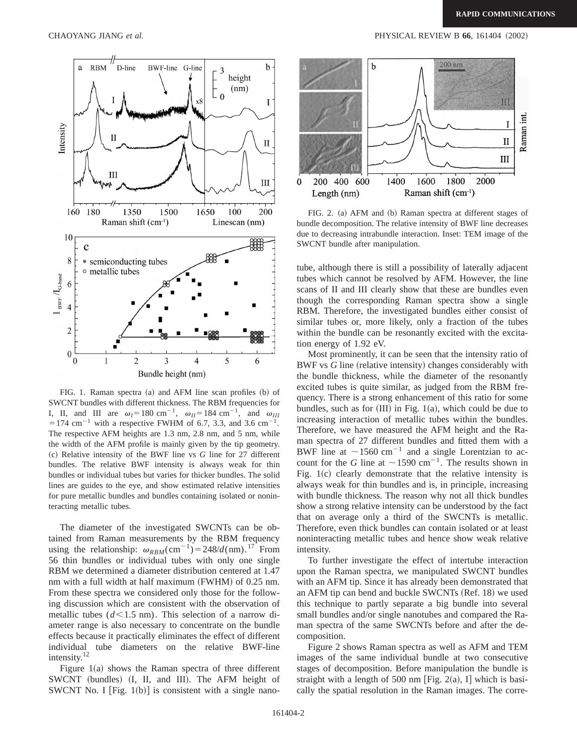

FIG. 1. Raman spectra (a) and AFM line scan profiles (b) of SWCNT bundles with different thickness. The RBM frequencies for I, II, and III are  $\omega_I = 180 \text{ cm}^{-1}$ ,  $\omega_{II} = 184 \text{ cm}^{-1}$ , and  $\omega_{III}$  $=$  174 cm<sup>-1</sup> with a respective FWHM of 6.7, 3.3, and 3.6 cm<sup>-1</sup>. The respective AFM heights are 1.3 nm, 2.8 nm, and 5 nm, while the width of the AFM profile is mainly given by the tip geometry. ~c! Relative intensity of the BWF line vs *G* line for 27 different bundles. The relative BWF intensity is always weak for thin bundles or individual tubes but varies for thicker bundles. The solid lines are guides to the eye, and show estimated relative intensities for pure metallic bundles and bundles containing isolated or noninteracting metallic tubes.

The diameter of the investigated SWCNTs can be obtained from Raman measurements by the RBM frequency using the relationship:  $\omega_{RBM}$ (cm<sup>-1</sup>)=248/*d*(nm).<sup>17</sup> From 56 thin bundles or individual tubes with only one single RBM we determined a diameter distribution centered at 1.47 nm with a full width at half maximum  $(FWHM)$  of 0.25 nm. From these spectra we considered only those for the following discussion which are consistent with the observation of metallic tubes  $(d<1.5$  nm). This selection of a narrow diameter range is also necessary to concentrate on the bundle effects because it practically eliminates the effect of different individual tube diameters on the relative BWF-line intensity.<sup>12</sup>

Figure  $1(a)$  shows the Raman spectra of three different SWCNT (bundles) (I, II, and III). The AFM height of SWCNT No. I [Fig.  $1(b)$ ] is consistent with a single nano-



FIG. 2. (a) AFM and (b) Raman spectra at different stages of bundle decomposition. The relative intensity of BWF line decreases due to decreasing intrabundle interaction. Inset: TEM image of the SWCNT bundle after manipulation.

tube, although there is still a possibility of laterally adjacent tubes which cannot be resolved by AFM. However, the line scans of II and III clearly show that these are bundles even though the corresponding Raman spectra show a single RBM. Therefore, the investigated bundles either consist of similar tubes or, more likely, only a fraction of the tubes within the bundle can be resonantly excited with the excitation energy of 1.92 eV.

Most prominently, it can be seen that the intensity ratio of BWF vs *G* line (relative intensity) changes considerably with the bundle thickness, while the diameter of the resonantly excited tubes is quite similar, as judged from the RBM frequency. There is a strong enhancement of this ratio for some bundles, such as for  $(III)$  in Fig. 1(a), which could be due to increasing interaction of metallic tubes within the bundles. Therefore, we have measured the AFM height and the Raman spectra of 27 different bundles and fitted them with a BWF line at  $\sim$ 1560 cm<sup>-1</sup> and a single Lorentzian to account for the *G* line at  $\sim$  1590 cm<sup>-1</sup>. The results shown in Fig.  $1(c)$  clearly demonstrate that the relative intensity is always weak for thin bundles and is, in principle, increasing with bundle thickness. The reason why not all thick bundles show a strong relative intensity can be understood by the fact that on average only a third of the SWCNTs is metallic. Therefore, even thick bundles can contain isolated or at least noninteracting metallic tubes and hence show weak relative intensity.

To further investigate the effect of intertube interaction upon the Raman spectra, we manipulated SWCNT bundles with an AFM tip. Since it has already been demonstrated that an AFM tip can bend and buckle SWCNTs  $(Ref. 18)$  we used this technique to partly separate a big bundle into several small bundles and/or single nanotubes and compared the Raman spectra of the same SWCNTs before and after the decomposition.

Figure 2 shows Raman spectra as well as AFM and TEM images of the same individual bundle at two consecutive stages of decomposition. Before manipulation the bundle is straight with a length of 500 nm [Fig. 2(a), I] which is basically the spatial resolution in the Raman images. The corre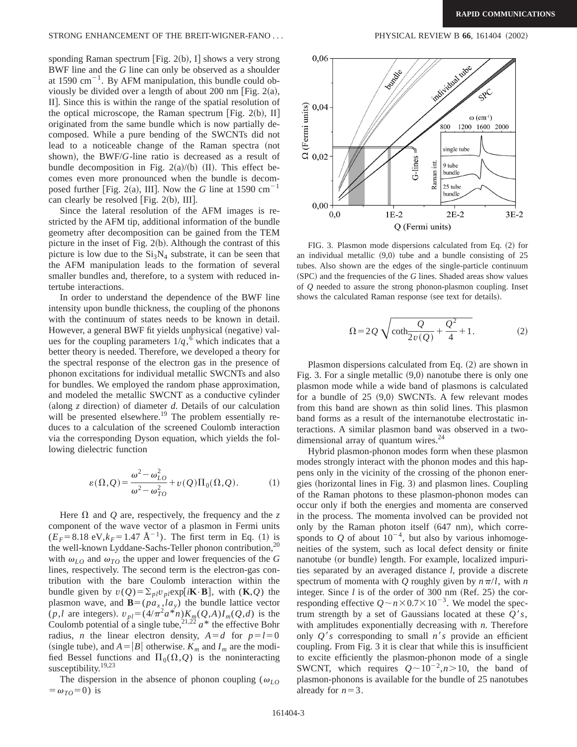sponding Raman spectrum  $\text{Fig. 2(b), I}$  shows a very strong BWF line and the *G* line can only be observed as a shoulder at 1590  $\text{cm}^{-1}$ . By AFM manipulation, this bundle could obviously be divided over a length of about 200 nm [Fig.  $2(a)$ , II]. Since this is within the range of the spatial resolution of the optical microscope, the Raman spectrum [Fig. 2(b), II] originated from the same bundle which is now partially decomposed. While a pure bending of the SWCNTs did not lead to a noticeable change of the Raman spectra (not shown), the BWF/*G*-line ratio is decreased as a result of bundle decomposition in Fig.  $2(a)/(b)$  (II). This effect becomes even more pronounced when the bundle is decomposed further [Fig. 2(a), III]. Now the *G* line at 1590  $cm^{-1}$ can clearly be resolved [Fig.  $2(b)$ , III].

Since the lateral resolution of the AFM images is restricted by the AFM tip, additional information of the bundle geometry after decomposition can be gained from the TEM picture in the inset of Fig.  $2(b)$ . Although the contrast of this picture is low due to the  $Si<sub>3</sub>N<sub>4</sub>$  substrate, it can be seen that the AFM manipulation leads to the formation of several smaller bundles and, therefore, to a system with reduced intertube interactions.

In order to understand the dependence of the BWF line intensity upon bundle thickness, the coupling of the phonons with the continuum of states needs to be known in detail. However, a general BWF fit yields unphysical (negative) values for the coupling parameters  $1/q$ ,  $\overline{6}$  which indicates that a better theory is needed. Therefore, we developed a theory for the spectral response of the electron gas in the presence of phonon excitations for individual metallic SWCNTs and also for bundles. We employed the random phase approximation, and modeled the metallic SWCNT as a conductive cylinder (along  $\zeta$  direction) of diameter  $d$ . Details of our calculation will be presented elsewhere.<sup>19</sup> The problem essentially reduces to a calculation of the screened Coulomb interaction via the corresponding Dyson equation, which yields the following dielectric function

$$
\varepsilon(\Omega, Q) = \frac{\omega^2 - \omega_{LO}^2}{\omega^2 - \omega_{TO}^2} + v(Q) \Pi_0(\Omega, Q). \tag{1}
$$

Here  $\Omega$  and  $\Omega$  are, respectively, the frequency and the z component of the wave vector of a plasmon in Fermi units  $(E_F = 8.18 \text{ eV}, k_F = 1.47 \text{ Å}^{-1})$ . The first term in Eq. (1) is the well-known Lyddane-Sachs-Teller phonon contribution,<sup>20</sup> with  $\omega_{LO}$  and  $\omega_{TO}$  the upper and lower frequencies of the *G* lines, respectively. The second term is the electron-gas contribution with the bare Coulomb interaction within the bundle given by  $v(Q) = \sum_{p|l} v_{p} \exp[i\mathbf{K} \cdot \mathbf{B}]$ , with  $(\mathbf{K}, Q)$  the plasmon wave, and  $\mathbf{B}=(p a_x, l a_y)$  the bundle lattice vector  $(p, l$  are integers).  $v_{pl} = (4/\pi^2 a^* n) K_m(Q, A) I_m(Q, d)$  is the Coulomb potential of a single tube,<sup>21,22</sup>  $a^*$  the effective Bohr radius, *n* the linear electron density,  $A = d$  for  $p = l = 0$ (single tube), and  $A = |B|$  otherwise.  $K_m$  and  $I_m$  are the modified Bessel functions and  $\Pi_0(\Omega, Q)$  is the noninteracting susceptibility. $19,23$ 

The dispersion in the absence of phonon coupling ( $\omega_{LO}$ )  $=\omega_{TO}=0$ ) is



FIG. 3. Plasmon mode dispersions calculated from Eq.  $(2)$  for an individual metallic  $(9,0)$  tube and a bundle consisting of 25 tubes. Also shown are the edges of the single-particle continuum (SPC) and the frequencies of the *G* lines. Shaded areas show values of *Q* needed to assure the strong phonon-plasmon coupling. Inset shows the calculated Raman response (see text for details).

$$
\Omega = 2Q \sqrt{\coth \frac{Q}{2v(Q)} + \frac{Q^2}{4} + 1}.
$$
 (2)

Plasmon dispersions calculated from Eq.  $(2)$  are shown in Fig. 3. For a single metallic  $(9,0)$  nanotube there is only one plasmon mode while a wide band of plasmons is calculated for a bundle of  $25 (9,0)$  SWCNTs. A few relevant modes from this band are shown as thin solid lines. This plasmon band forms as a result of the internanotube electrostatic interactions. A similar plasmon band was observed in a twodimensional array of quantum wires. $24$ 

Hybrid plasmon-phonon modes form when these plasmon modes strongly interact with the phonon modes and this happens only in the vicinity of the crossing of the phonon energies (horizontal lines in Fig. 3) and plasmon lines. Coupling of the Raman photons to these plasmon-phonon modes can occur only if both the energies and momenta are conserved in the process. The momenta involved can be provided not only by the Raman photon itself  $(647 \text{ nm})$ , which corresponds to  $Q$  of about  $10^{-4}$ , but also by various inhomogeneities of the system, such as local defect density or finite nanotube (or bundle) length. For example, localized impurities separated by an averaged distance *l*, provide a discrete spectrum of momenta with *Q* roughly given by  $n \pi/l$ , with *n* integer. Since  $l$  is of the order of 300 nm (Ref. 25) the corresponding effective  $Q \sim n \times 0.7 \times 10^{-3}$ . We model the spectrum strength by a set of Gaussians located at these  $O's$ , with amplitudes exponentially decreasing with *n*. Therefore only  $Q's$  corresponding to small  $n's$  provide an efficient coupling. From Fig. 3 it is clear that while this is insufficient to excite efficiently the plasmon-phonon mode of a single SWCNT, which requires  $Q \sim 10^{-2}$ ,  $n > 10$ , the band of plasmon-phonons is available for the bundle of 25 nanotubes already for  $n=3$ .